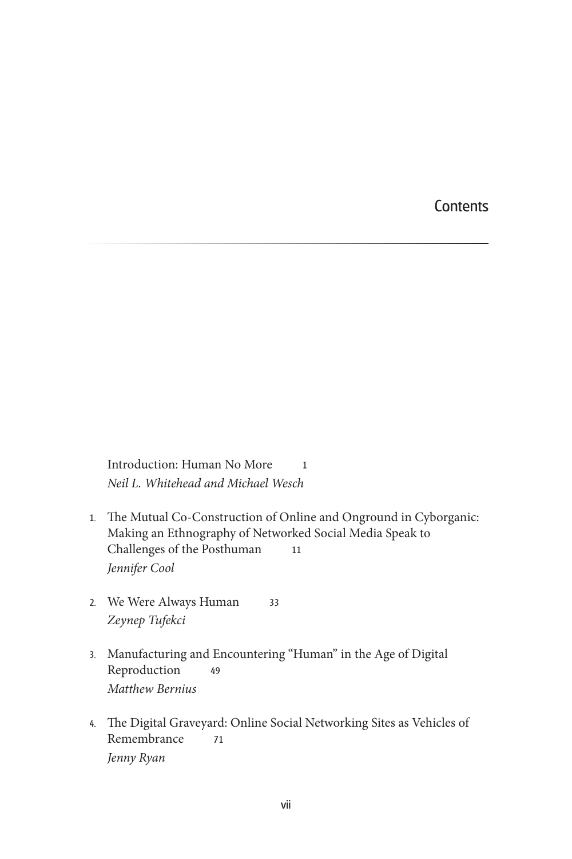**Contents** 

Introduction: Human No More <sup>1</sup> *Neil L. Whitehead and Michael Wesch*

- 1. The Mutual Co-Construction of Online and Onground in Cyborganic: Making an Ethnography of Networked Social Media Speak to Challenges of the Posthuman <sup>11</sup> *Jennifer Cool*
- 2. We Were Always Human 33 *Zeynep Tufekci*
- 3. Manufacturing and Encountering "Human" in the Age of Digital Reproduction 49 *Matthew Bernius*
- 4. The Digital Graveyard: Online Social Networking Sites as Vehicles of Remembrance 71 *Jenny Ryan*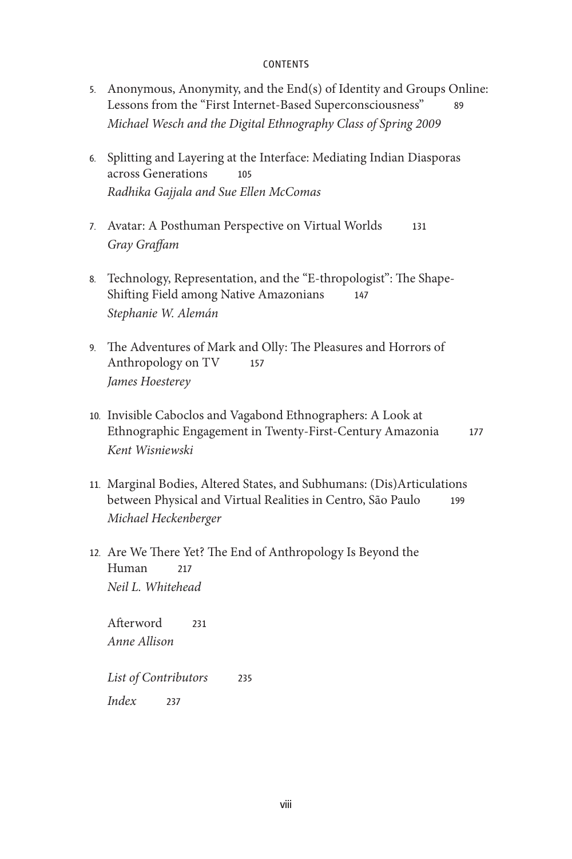## **CONTENTS**

- 5. Anonymous, Anonymity, and the End(s) of Identity and Groups Online: Lessons from the "First Internet-Based Superconsciousness" <sup>89</sup> *Michael Wesch and the Digital Ethnography Class of Spring 2009*
- 6. Splitting and Layering at the Interface: Mediating Indian Diasporas across Generations <sup>105</sup> *Radhika Gajjala and Sue Ellen McComas*
- 7. Avatar: A Posthuman Perspective on Virtual Worlds <sup>131</sup> *Gray Graffam*
- 8. Technology, Representation, and the "E-thropologist": The Shape-Shifting Field among Native Amazonians <sup>147</sup> *Stephanie W. Alemán*
- 9. The Adventures of Mark and Olly: The Pleasures and Horrors of Anthropology on TV <sup>157</sup> *James Hoesterey*
- 10. Invisible Caboclos and Vagabond Ethnographers: A Look at Ethnographic Engagement in Twenty-First-Century Amazonia <sup>177</sup> *Kent Wisniewski*
- 11. Marginal Bodies, Altered States, and Subhumans: (Dis)Articulations between Physical and Virtual Realities in Centro, São Paulo <sup>199</sup> *Michael Heckenberger*
- 12. Are We There Yet? The End of Anthropology Is Beyond the Human 217 *Neil L. Whitehead*

Afterword 231 *Anne Allison List of Contributors* <sup>235</sup>

*Index* 237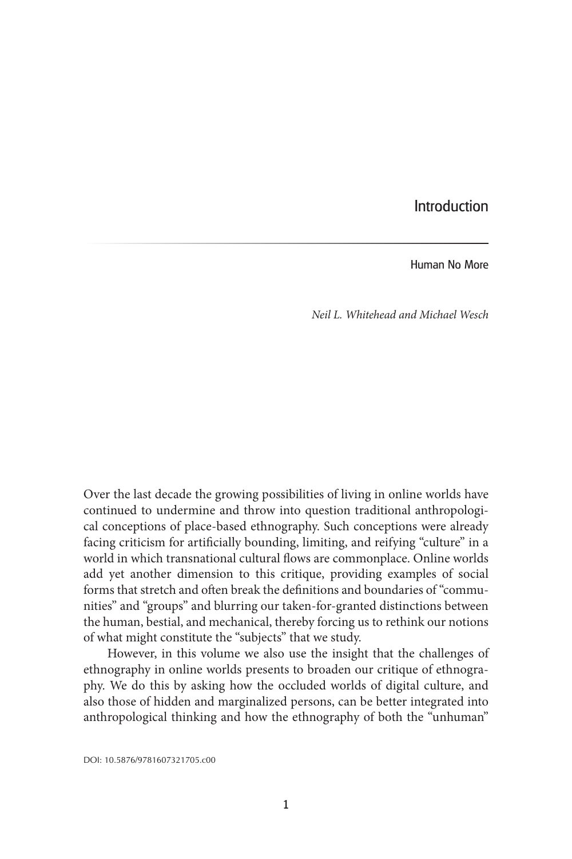# Introduction

Human No More

*Neil L. Whitehead and Michael Wesch*

Over the last decade the growing possibilities of living in online worlds have continued to undermine and throw into question traditional anthropological conceptions of place-based ethnography. Such conceptions were already facing criticism for artificially bounding, limiting, and reifying "culture" in a world in which transnational cultural flows are commonplace. Online worlds add yet another dimension to this critique, providing examples of social forms that stretch and often break the definitions and boundaries of "communities" and "groups" and blurring our taken-for-granted distinctions between the human, bestial, and mechanical, thereby forcing us to rethink our notions of what might constitute the "subjects" that we study.

However, in this volume we also use the insight that the challenges of ethnography in online worlds presents to broaden our critique of ethnography. We do this by asking how the occluded worlds of digital culture, and also those of hidden and marginalized persons, can be better integrated into anthropological thinking and how the ethnography of both the "unhuman"

DOI: 10.5876/9781607321705.c00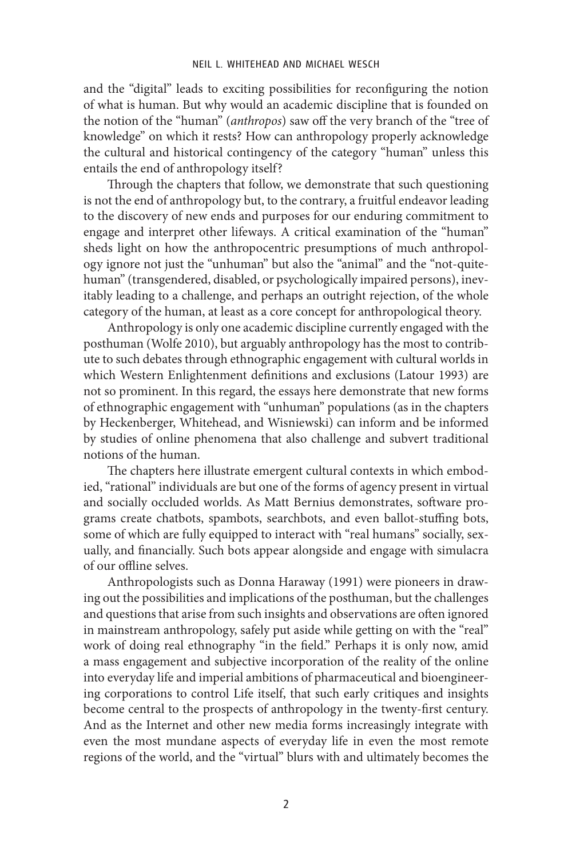and the "digital" leads to exciting possibilities for reconfiguring the notion of what is human. But why would an academic discipline that is founded on the notion of the "human" (*anthropos*) saw off the very branch of the "tree of knowledge" on which it rests? How can anthropology properly acknowledge the cultural and historical contingency of the category "human" unless this entails the end of anthropology itself?

Through the chapters that follow, we demonstrate that such questioning is not the end of anthropology but, to the contrary, a fruitful endeavor leading to the discovery of new ends and purposes for our enduring commitment to engage and interpret other lifeways. A critical examination of the "human" sheds light on how the anthropocentric presumptions of much anthropology ignore not just the "unhuman" but also the "animal" and the "not-quitehuman" (transgendered, disabled, or psychologically impaired persons), inevitably leading to a challenge, and perhaps an outright rejection, of the whole category of the human, at least as a core concept for anthropological theory.

Anthropology is only one academic discipline currently engaged with the posthuman (Wolfe 2010), but arguably anthropology has the most to contribute to such debates through ethnographic engagement with cultural worlds in which Western Enlightenment definitions and exclusions (Latour 1993) are not so prominent. In this regard, the essays here demonstrate that new forms of ethnographic engagement with "unhuman" populations (as in the chapters by Heckenberger, Whitehead, and Wisniewski) can inform and be informed by studies of online phenomena that also challenge and subvert traditional notions of the human.

The chapters here illustrate emergent cultural contexts in which embodied, "rational" individuals are but one of the forms of agency present in virtual and socially occluded worlds. As Matt Bernius demonstrates, software programs create chatbots, spambots, searchbots, and even ballot-stuffing bots, some of which are fully equipped to interact with "real humans" socially, sexually, and financially. Such bots appear alongside and engage with simulacra of our offline selves.

Anthropologists such as Donna Haraway (1991) were pioneers in drawing out the possibilities and implications of the posthuman, but the challenges and questions that arise from such insights and observations are often ignored in mainstream anthropology, safely put aside while getting on with the "real" work of doing real ethnography "in the field." Perhaps it is only now, amid a mass engagement and subjective incorporation of the reality of the online into everyday life and imperial ambitions of pharmaceutical and bioengineering corporations to control Life itself, that such early critiques and insights become central to the prospects of anthropology in the twenty-first century. And as the Internet and other new media forms increasingly integrate with even the most mundane aspects of everyday life in even the most remote regions of the world, and the "virtual" blurs with and ultimately becomes the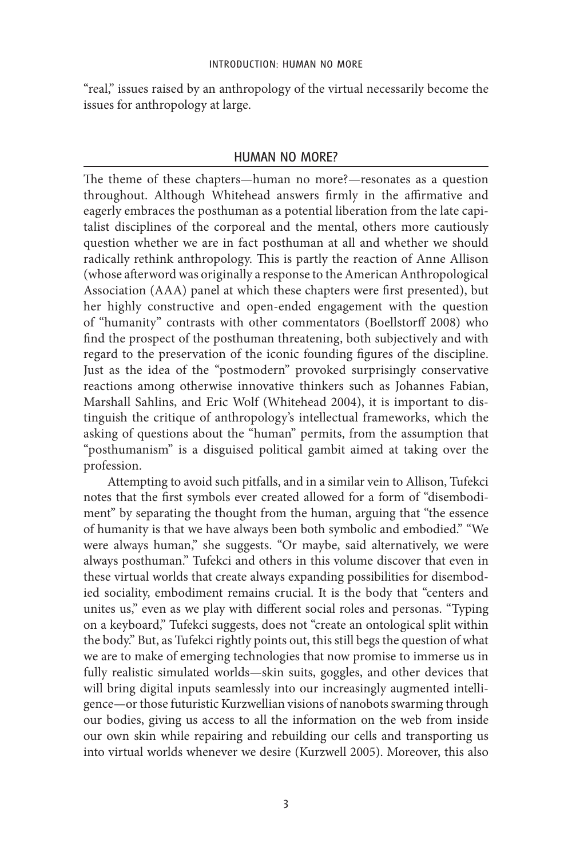"real," issues raised by an anthropology of the virtual necessarily become the issues for anthropology at large.

## Human No More?

The theme of these chapters—human no more?—resonates as a question throughout. Although Whitehead answers firmly in the affirmative and eagerly embraces the posthuman as a potential liberation from the late capitalist disciplines of the corporeal and the mental, others more cautiously question whether we are in fact posthuman at all and whether we should radically rethink anthropology. This is partly the reaction of Anne Allison (whose afterword was originally a response to the American Anthropological Association (AAA) panel at which these chapters were first presented), but her highly constructive and open-ended engagement with the question of "humanity" contrasts with other commentators (Boellstorff 2008) who find the prospect of the posthuman threatening, both subjectively and with regard to the preservation of the iconic founding figures of the discipline. Just as the idea of the "postmodern" provoked surprisingly conservative reactions among otherwise innovative thinkers such as Johannes Fabian, Marshall Sahlins, and Eric Wolf (Whitehead 2004), it is important to distinguish the critique of anthropology's intellectual frameworks, which the asking of questions about the "human" permits, from the assumption that "posthumanism" is a disguised political gambit aimed at taking over the profession.

Attempting to avoid such pitfalls, and in a similar vein to Allison, Tufekci notes that the first symbols ever created allowed for a form of "disembodiment" by separating the thought from the human, arguing that "the essence of humanity is that we have always been both symbolic and embodied." "We were always human," she suggests. "Or maybe, said alternatively, we were always posthuman." Tufekci and others in this volume discover that even in these virtual worlds that create always expanding possibilities for disembodied sociality, embodiment remains crucial. It is the body that "centers and unites us," even as we play with different social roles and personas. "Typing on a keyboard," Tufekci suggests, does not "create an ontological split within the body." But, as Tufekci rightly points out, this still begs the question of what we are to make of emerging technologies that now promise to immerse us in fully realistic simulated worlds—skin suits, goggles, and other devices that will bring digital inputs seamlessly into our increasingly augmented intelligence—or those futuristic Kurzwellian visions of nanobots swarming through our bodies, giving us access to all the information on the web from inside our own skin while repairing and rebuilding our cells and transporting us into virtual worlds whenever we desire (Kurzwell 2005). Moreover, this also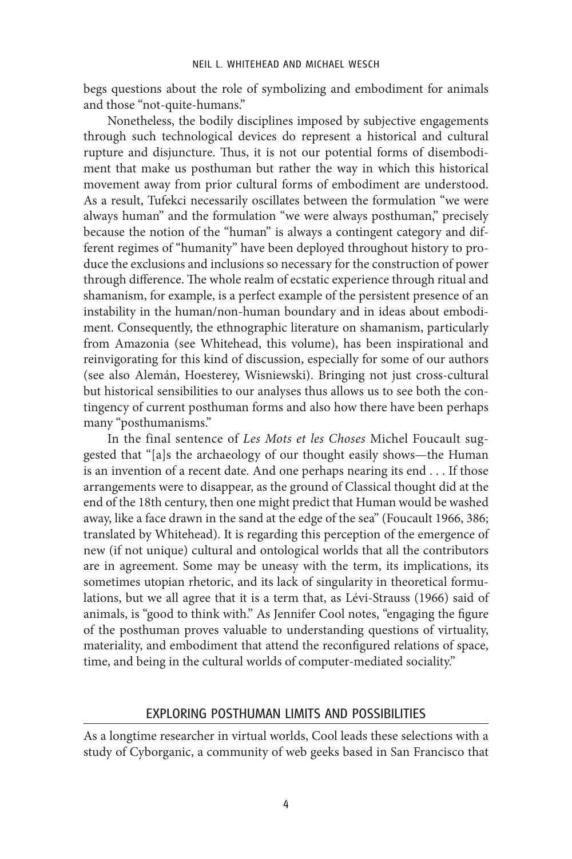begs questions about the role of symbolizing and embodiment for animals and those "not-quite-humans."

Nonetheless, the bodily disciplines imposed by subjective engagements through such technological devices do represent a historical and cultural rupture and disjuncture. Thus, it is not our potential forms of disembodiment that make us posthuman but rather the way in which this historical movement away from prior cultural forms of embodiment are understood. As a result, Tufekci necessarily oscillates between the formulation "we were always human" and the formulation "we were always posthuman," precisely because the notion of the "human" is always a contingent category and different regimes of "humanity" have been deployed throughout history to produce the exclusions and inclusions so necessary for the construction of power through difference. The whole realm of ecstatic experience through ritual and shamanism, for example, is a perfect example of the persistent presence of an instability in the human/non-human boundary and in ideas about embodiment. Consequently, the ethnographic literature on shamanism, particularly from Amazonia (see Whitehead, this volume), has been inspirational and reinvigorating for this kind of discussion, especially for some of our authors (see also Alemán, Hoesterey, Wisniewski). Bringing not just cross-cultural but historical sensibilities to our analyses thus allows us to see both the contingency of current posthuman forms and also how there have been perhaps many "posthumanisms."

In the final sentence of *Les Mots et les Choses* Michel Foucault suggested that "[a]s the archaeology of our thought easily shows—the Human is an invention of a recent date. And one perhaps nearing its end . . . If those arrangements were to disappear, as the ground of Classical thought did at the end of the 18th century, then one might predict that Human would be washed away, like a face drawn in the sand at the edge of the sea" (Foucault 1966, 386; translated by Whitehead). It is regarding this perception of the emergence of new (if not unique) cultural and ontological worlds that all the contributors are in agreement. Some may be uneasy with the term, its implications, its sometimes utopian rhetoric, and its lack of singularity in theoretical formulations, but we all agree that it is a term that, as Lévi-Strauss (1966) said of animals, is "good to think with." As Jennifer Cool notes, "engaging the figure of the posthuman proves valuable to understanding questions of virtuality, materiality, and embodiment that attend the reconfigured relations of space, time, and being in the cultural worlds of computer-mediated sociality."

## Exploring Posthuman Limits and Possibilities

As a longtime researcher in virtual worlds, Cool leads these selections with a study of Cyborganic, a community of web geeks based in San Francisco that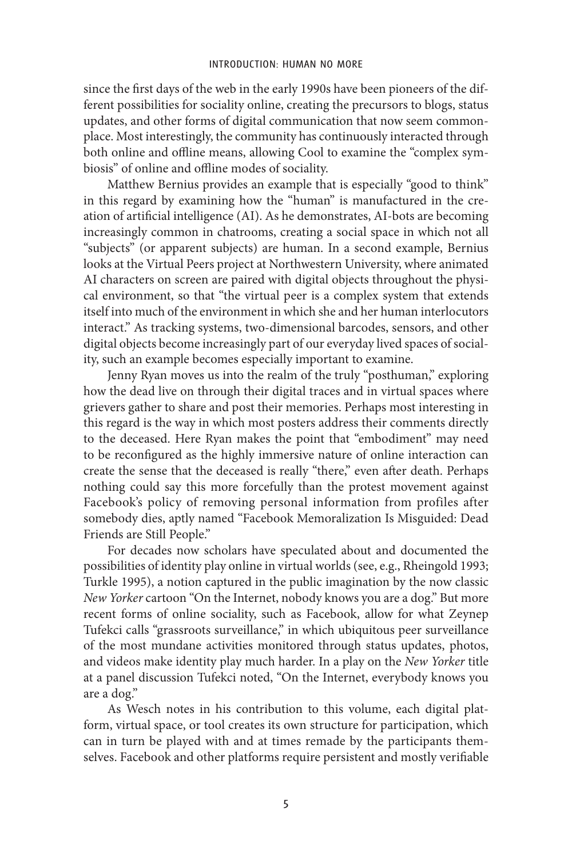since the first days of the web in the early 1990s have been pioneers of the different possibilities for sociality online, creating the precursors to blogs, status updates, and other forms of digital communication that now seem commonplace. Most interestingly, the community has continuously interacted through both online and offline means, allowing Cool to examine the "complex symbiosis" of online and offline modes of sociality.

Matthew Bernius provides an example that is especially "good to think" in this regard by examining how the "human" is manufactured in the creation of artificial intelligence (AI). As he demonstrates, AI-bots are becoming increasingly common in chatrooms, creating a social space in which not all "subjects" (or apparent subjects) are human. In a second example, Bernius looks at the Virtual Peers project at Northwestern University, where animated AI characters on screen are paired with digital objects throughout the physical environment, so that "the virtual peer is a complex system that extends itself into much of the environment in which she and her human interlocutors interact." As tracking systems, two-dimensional barcodes, sensors, and other digital objects become increasingly part of our everyday lived spaces of sociality, such an example becomes especially important to examine.

Jenny Ryan moves us into the realm of the truly "posthuman," exploring how the dead live on through their digital traces and in virtual spaces where grievers gather to share and post their memories. Perhaps most interesting in this regard is the way in which most posters address their comments directly to the deceased. Here Ryan makes the point that "embodiment" may need to be reconfigured as the highly immersive nature of online interaction can create the sense that the deceased is really "there," even after death. Perhaps nothing could say this more forcefully than the protest movement against Facebook's policy of removing personal information from profiles after somebody dies, aptly named "Facebook Memoralization Is Misguided: Dead Friends are Still People."

For decades now scholars have speculated about and documented the possibilities of identity play online in virtual worlds (see, e.g., Rheingold 1993; Turkle 1995), a notion captured in the public imagination by the now classic *New Yorker* cartoon "On the Internet, nobody knows you are a dog." But more recent forms of online sociality, such as Facebook, allow for what Zeynep Tufekci calls "grassroots surveillance," in which ubiquitous peer surveillance of the most mundane activities monitored through status updates, photos, and videos make identity play much harder. In a play on the *New Yorker* title at a panel discussion Tufekci noted, "On the Internet, everybody knows you are a dog."

As Wesch notes in his contribution to this volume, each digital platform, virtual space, or tool creates its own structure for participation, which can in turn be played with and at times remade by the participants themselves. Facebook and other platforms require persistent and mostly verifiable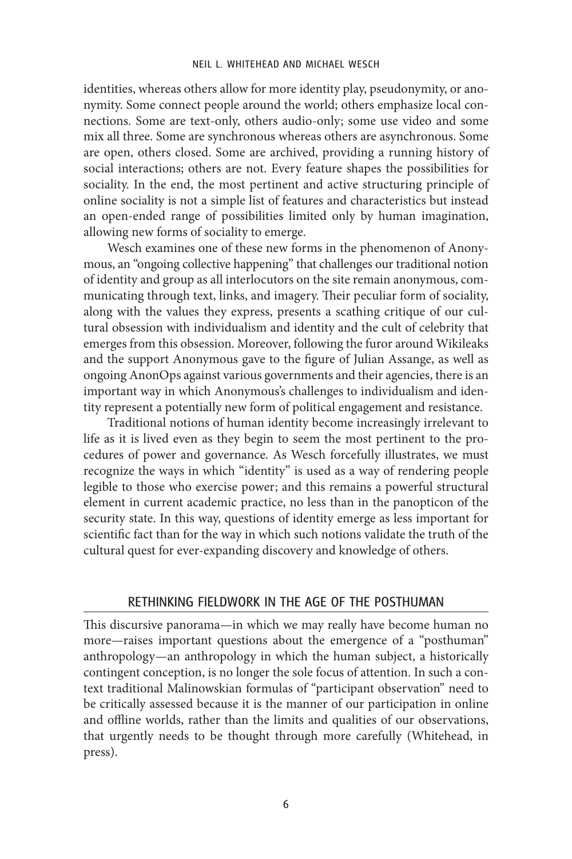#### NEIL L. WHITEHEAD AND MICHAEL WESCH

identities, whereas others allow for more identity play, pseudonymity, or anonymity. Some connect people around the world; others emphasize local connections. Some are text-only, others audio-only; some use video and some mix all three. Some are synchronous whereas others are asynchronous. Some are open, others closed. Some are archived, providing a running history of social interactions; others are not. Every feature shapes the possibilities for sociality. In the end, the most pertinent and active structuring principle of online sociality is not a simple list of features and characteristics but instead an open-ended range of possibilities limited only by human imagination, allowing new forms of sociality to emerge.

Wesch examines one of these new forms in the phenomenon of Anonymous, an "ongoing collective happening" that challenges our traditional notion of identity and group as all interlocutors on the site remain anonymous, communicating through text, links, and imagery. Their peculiar form of sociality, along with the values they express, presents a scathing critique of our cultural obsession with individualism and identity and the cult of celebrity that emerges from this obsession. Moreover, following the furor around Wikileaks and the support Anonymous gave to the figure of Julian Assange, as well as ongoing AnonOps against various governments and their agencies, there is an important way in which Anonymous's challenges to individualism and identity represent a potentially new form of political engagement and resistance.

Traditional notions of human identity become increasingly irrelevant to life as it is lived even as they begin to seem the most pertinent to the procedures of power and governance. As Wesch forcefully illustrates, we must recognize the ways in which "identity" is used as a way of rendering people legible to those who exercise power; and this remains a powerful structural element in current academic practice, no less than in the panopticon of the security state. In this way, questions of identity emerge as less important for scientific fact than for the way in which such notions validate the truth of the cultural quest for ever-expanding discovery and knowledge of others.

## Rethinking Fieldwork in the Age of the Posthuman

This discursive panorama—in which we may really have become human no more—raises important questions about the emergence of a "posthuman" anthropology—an anthropology in which the human subject, a historically contingent conception, is no longer the sole focus of attention. In such a context traditional Malinowskian formulas of "participant observation" need to be critically assessed because it is the manner of our participation in online and offline worlds, rather than the limits and qualities of our observations, that urgently needs to be thought through more carefully (Whitehead, in press).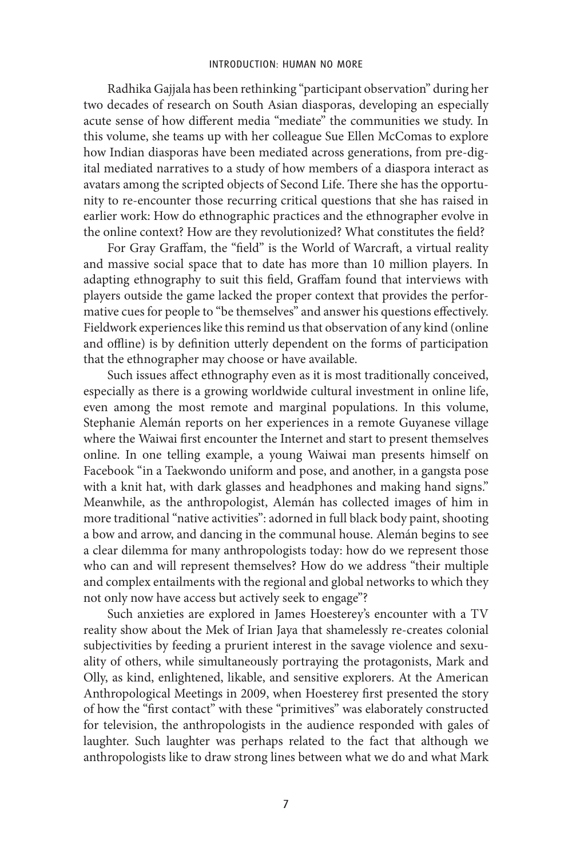Radhika Gajjala has been rethinking "participant observation" during her two decades of research on South Asian diasporas, developing an especially acute sense of how different media "mediate" the communities we study. In this volume, she teams up with her colleague Sue Ellen McComas to explore how Indian diasporas have been mediated across generations, from pre-digital mediated narratives to a study of how members of a diaspora interact as avatars among the scripted objects of Second Life. There she has the opportunity to re-encounter those recurring critical questions that she has raised in earlier work: How do ethnographic practices and the ethnographer evolve in the online context? How are they revolutionized? What constitutes the field?

For Gray Graffam, the "field" is the World of Warcraft, a virtual reality and massive social space that to date has more than 10 million players. In adapting ethnography to suit this field, Graffam found that interviews with players outside the game lacked the proper context that provides the performative cues for people to "be themselves" and answer his questions effectively. Fieldwork experiences like this remind us that observation of any kind (online and offline) is by definition utterly dependent on the forms of participation that the ethnographer may choose or have available.

Such issues affect ethnography even as it is most traditionally conceived, especially as there is a growing worldwide cultural investment in online life, even among the most remote and marginal populations. In this volume, Stephanie Alemán reports on her experiences in a remote Guyanese village where the Waiwai first encounter the Internet and start to present themselves online. In one telling example, a young Waiwai man presents himself on Facebook "in a Taekwondo uniform and pose, and another, in a gangsta pose with a knit hat, with dark glasses and headphones and making hand signs." Meanwhile, as the anthropologist, Alemán has collected images of him in more traditional "native activities": adorned in full black body paint, shooting a bow and arrow, and dancing in the communal house. Alemán begins to see a clear dilemma for many anthropologists today: how do we represent those who can and will represent themselves? How do we address "their multiple and complex entailments with the regional and global networks to which they not only now have access but actively seek to engage"?

Such anxieties are explored in James Hoesterey's encounter with a TV reality show about the Mek of Irian Jaya that shamelessly re-creates colonial subjectivities by feeding a prurient interest in the savage violence and sexuality of others, while simultaneously portraying the protagonists, Mark and Olly, as kind, enlightened, likable, and sensitive explorers. At the American Anthropological Meetings in 2009, when Hoesterey first presented the story of how the "first contact" with these "primitives" was elaborately constructed for television, the anthropologists in the audience responded with gales of laughter. Such laughter was perhaps related to the fact that although we anthropologists like to draw strong lines between what we do and what Mark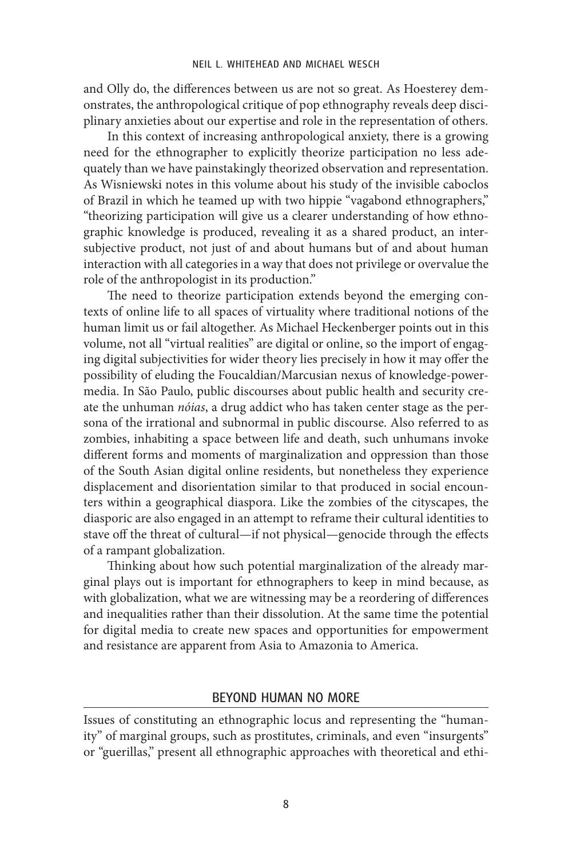and Olly do, the differences between us are not so great. As Hoesterey demonstrates, the anthropological critique of pop ethnography reveals deep disciplinary anxieties about our expertise and role in the representation of others.

In this context of increasing anthropological anxiety, there is a growing need for the ethnographer to explicitly theorize participation no less adequately than we have painstakingly theorized observation and representation. As Wisniewski notes in this volume about his study of the invisible caboclos of Brazil in which he teamed up with two hippie "vagabond ethnographers," "theorizing participation will give us a clearer understanding of how ethnographic knowledge is produced, revealing it as a shared product, an intersubjective product, not just of and about humans but of and about human interaction with all categories in a way that does not privilege or overvalue the role of the anthropologist in its production."

The need to theorize participation extends beyond the emerging contexts of online life to all spaces of virtuality where traditional notions of the human limit us or fail altogether. As Michael Heckenberger points out in this volume, not all "virtual realities" are digital or online, so the import of engaging digital subjectivities for wider theory lies precisely in how it may offer the possibility of eluding the Foucaldian/Marcusian nexus of knowledge-powermedia. In São Paulo, public discourses about public health and security create the unhuman *nóias*, a drug addict who has taken center stage as the persona of the irrational and subnormal in public discourse. Also referred to as zombies, inhabiting a space between life and death, such unhumans invoke different forms and moments of marginalization and oppression than those of the South Asian digital online residents, but nonetheless they experience displacement and disorientation similar to that produced in social encounters within a geographical diaspora. Like the zombies of the cityscapes, the diasporic are also engaged in an attempt to reframe their cultural identities to stave off the threat of cultural—if not physical—genocide through the effects of a rampant globalization.

Thinking about how such potential marginalization of the already marginal plays out is important for ethnographers to keep in mind because, as with globalization, what we are witnessing may be a reordering of differences and inequalities rather than their dissolution. At the same time the potential for digital media to create new spaces and opportunities for empowerment and resistance are apparent from Asia to Amazonia to America.

## Beyond Human No More

Issues of constituting an ethnographic locus and representing the "humanity" of marginal groups, such as prostitutes, criminals, and even "insurgents" or "guerillas," present all ethnographic approaches with theoretical and ethi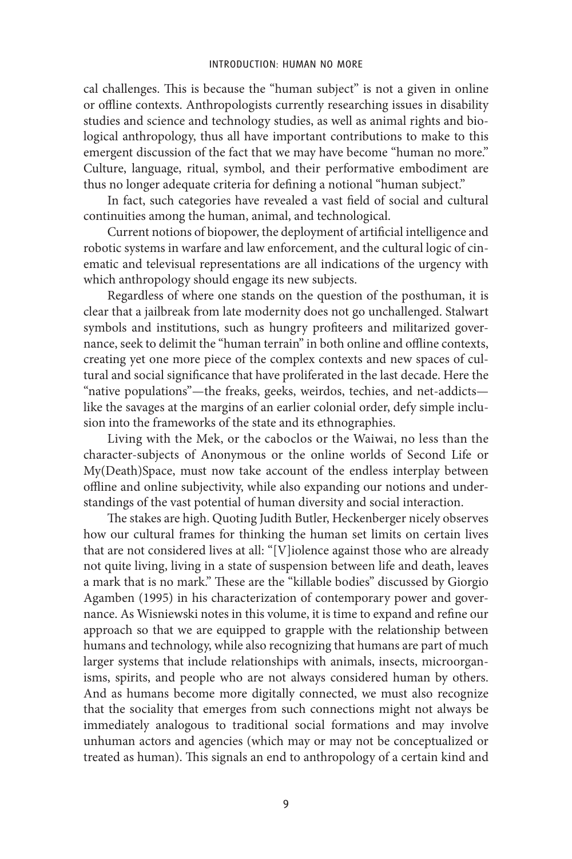cal challenges. This is because the "human subject" is not a given in online or offline contexts. Anthropologists currently researching issues in disability studies and science and technology studies, as well as animal rights and biological anthropology, thus all have important contributions to make to this emergent discussion of the fact that we may have become "human no more." Culture, language, ritual, symbol, and their performative embodiment are thus no longer adequate criteria for defining a notional "human subject."

In fact, such categories have revealed a vast field of social and cultural continuities among the human, animal, and technological.

Current notions of biopower, the deployment of artificial intelligence and robotic systems in warfare and law enforcement, and the cultural logic of cinematic and televisual representations are all indications of the urgency with which anthropology should engage its new subjects.

Regardless of where one stands on the question of the posthuman, it is clear that a jailbreak from late modernity does not go unchallenged. Stalwart symbols and institutions, such as hungry profiteers and militarized governance, seek to delimit the "human terrain" in both online and offline contexts, creating yet one more piece of the complex contexts and new spaces of cultural and social significance that have proliferated in the last decade. Here the "native populations"—the freaks, geeks, weirdos, techies, and net-addicts like the savages at the margins of an earlier colonial order, defy simple inclusion into the frameworks of the state and its ethnographies.

Living with the Mek, or the caboclos or the Waiwai, no less than the character-subjects of Anonymous or the online worlds of Second Life or My(Death)Space, must now take account of the endless interplay between offline and online subjectivity, while also expanding our notions and understandings of the vast potential of human diversity and social interaction.

The stakes are high. Quoting Judith Butler, Heckenberger nicely observes how our cultural frames for thinking the human set limits on certain lives that are not considered lives at all: "[V]iolence against those who are already not quite living, living in a state of suspension between life and death, leaves a mark that is no mark." These are the "killable bodies" discussed by Giorgio Agamben (1995) in his characterization of contemporary power and governance. As Wisniewski notes in this volume, it is time to expand and refine our approach so that we are equipped to grapple with the relationship between humans and technology, while also recognizing that humans are part of much larger systems that include relationships with animals, insects, microorganisms, spirits, and people who are not always considered human by others. And as humans become more digitally connected, we must also recognize that the sociality that emerges from such connections might not always be immediately analogous to traditional social formations and may involve unhuman actors and agencies (which may or may not be conceptualized or treated as human). This signals an end to anthropology of a certain kind and